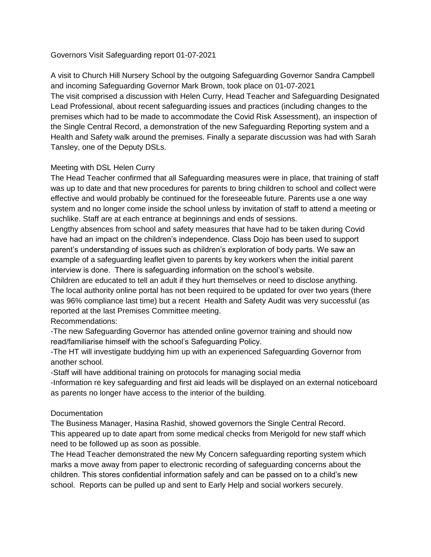#### Governors Visit Safeguarding report 01-07-2021

A visit to Church Hill Nursery School by the outgoing Safeguarding Governor Sandra Campbell and incoming Safeguarding Governor Mark Brown, took place on 01-07-2021 The visit comprised a discussion with Helen Curry, Head Teacher and Safeguarding Designated Lead Professional, about recent safeguarding issues and practices (including changes to the premises which had to be made to accommodate the Covid Risk Assessment), an inspection of the Single Central Record, a demonstration of the new Safeguarding Reporting system and a Health and Safety walk around the premises. Finally a separate discussion was had with Sarah Tansley, one of the Deputy DSLs.

### Meeting with DSL Helen Curry

The Head Teacher confirmed that all Safeguarding measures were in place, that training of staff was up to date and that new procedures for parents to bring children to school and collect were effective and would probably be continued for the foreseeable future. Parents use a one way system and no longer come inside the school unless by invitation of staff to attend a meeting or suchlike. Staff are at each entrance at beginnings and ends of sessions.

Lengthy absences from school and safety measures that have had to be taken during Covid have had an impact on the children's independence. Class Dojo has been used to support parent's understanding of issues such as children's exploration of body parts. We saw an example of a safeguarding leaflet given to parents by key workers when the initial parent interview is done. There is safeguarding information on the school's website.

Children are educated to tell an adult if they hurt themselves or need to disclose anything. The local authority online portal has not been required to be updated for over two years (there was 96% compliance last time) but a recent Health and Safety Audit was very successful (as reported at the last Premises Committee meeting.

#### Recommendations:

-The new Safeguarding Governor has attended online governor training and should now read/familiarise himself with the school's Safeguarding Policy.

-The HT will investigate buddying him up with an experienced Safeguarding Governor from another school.

-Staff will have additional training on protocols for managing social media

-Information re key safeguarding and first aid leads will be displayed on an external noticeboard as parents no longer have access to the interior of the building.

#### **Documentation**

The Business Manager, Hasina Rashid, showed governors the Single Central Record. This appeared up to date apart from some medical checks from Merigold for new staff which need to be followed up as soon as possible.

The Head Teacher demonstrated the new My Concern safeguarding reporting system which marks a move away from paper to electronic recording of safeguarding concerns about the children. This stores confidential information safely and can be passed on to a child's new school. Reports can be pulled up and sent to Early Help and social workers securely.